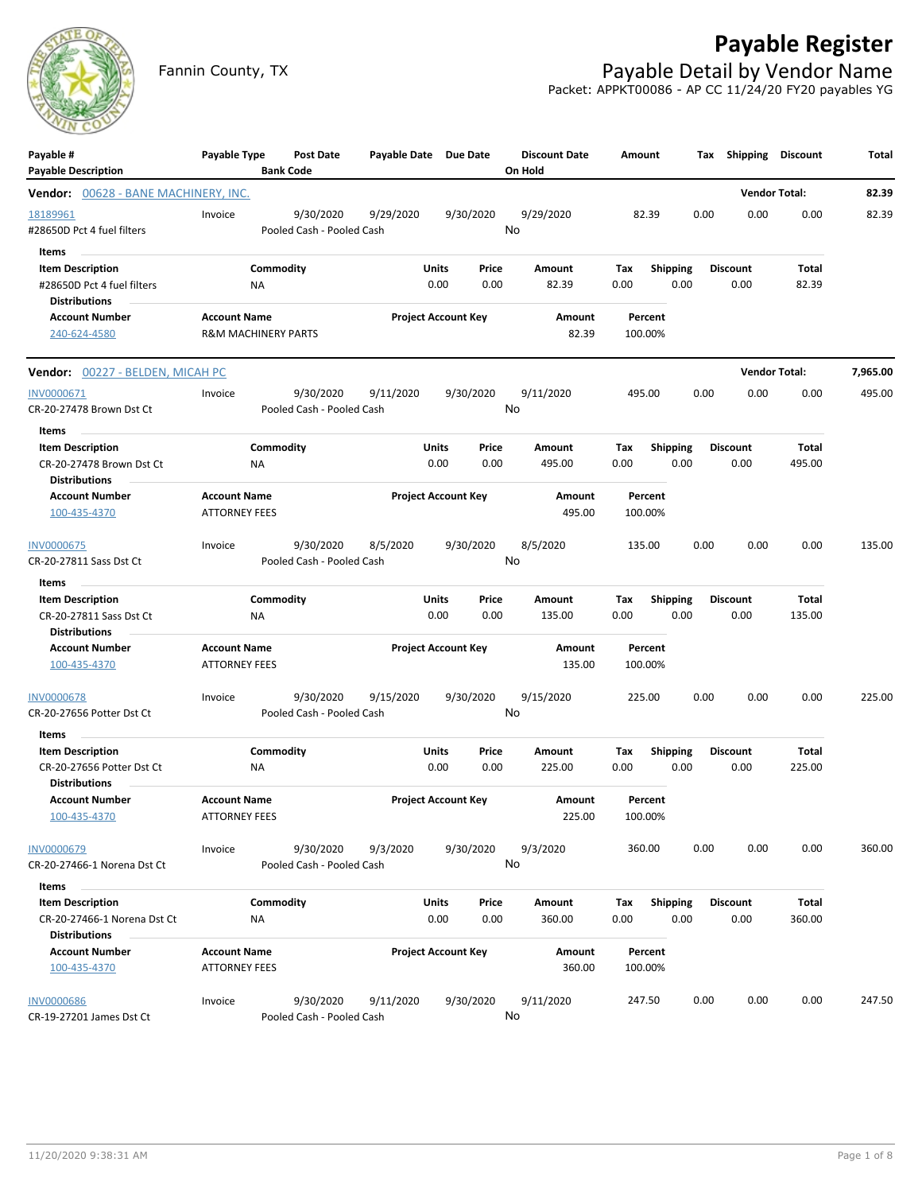## **Payable Register**



Fannin County, TX **Payable Detail by Vendor Name** Packet: APPKT00086 - AP CC 11/24/20 FY20 payables YG

| Payable #<br><b>Payable Description</b>                                      | Payable Type                                          | Post Date<br><b>Bank Code</b>          | Payable Date Due Date |                            |               | <b>Discount Date</b><br>On Hold | Amount             |                         |      | Tax Shipping Discount   |                      | Total    |
|------------------------------------------------------------------------------|-------------------------------------------------------|----------------------------------------|-----------------------|----------------------------|---------------|---------------------------------|--------------------|-------------------------|------|-------------------------|----------------------|----------|
| Vendor: 00628 - BANE MACHINERY, INC.                                         |                                                       |                                        |                       |                            |               |                                 |                    |                         |      | <b>Vendor Total:</b>    |                      | 82.39    |
| 18189961<br>#28650D Pct 4 fuel filters                                       | Invoice                                               | 9/30/2020<br>Pooled Cash - Pooled Cash | 9/29/2020             |                            | 9/30/2020     | 9/29/2020<br>No                 | 82.39              |                         | 0.00 | 0.00                    | 0.00                 | 82.39    |
| Items<br><b>Item Description</b>                                             |                                                       | Commodity                              |                       | Units                      | Price         | Amount                          | Tax                | <b>Shipping</b>         |      | <b>Discount</b>         | Total                |          |
| #28650D Pct 4 fuel filters<br><b>Distributions</b>                           | <b>NA</b>                                             |                                        |                       | 0.00                       | 0.00          | 82.39                           | 0.00               | 0.00                    |      | 0.00                    | 82.39                |          |
| <b>Account Number</b><br>240-624-4580                                        | <b>Account Name</b><br><b>R&amp;M MACHINERY PARTS</b> |                                        |                       | <b>Project Account Key</b> |               | Amount<br>82.39                 | Percent<br>100.00% |                         |      |                         |                      |          |
| Vendor: 00227 - BELDEN, MICAH PC                                             |                                                       |                                        |                       |                            |               |                                 |                    |                         |      |                         | <b>Vendor Total:</b> | 7,965.00 |
| INV0000671                                                                   | Invoice                                               | 9/30/2020                              | 9/11/2020             |                            | 9/30/2020     | 9/11/2020                       | 495.00             |                         | 0.00 | 0.00                    | 0.00                 | 495.00   |
| CR-20-27478 Brown Dst Ct<br>Items<br>$\sim$                                  |                                                       | Pooled Cash - Pooled Cash              |                       |                            |               | No                              |                    |                         |      |                         |                      |          |
| <b>Item Description</b><br>CR-20-27478 Brown Dst Ct<br><b>Distributions</b>  | ΝA                                                    | Commodity                              |                       | Units<br>0.00              | Price<br>0.00 | Amount<br>495.00                | Тах<br>0.00        | Shipping<br>0.00        |      | <b>Discount</b><br>0.00 | Total<br>495.00      |          |
| <b>Account Number</b><br>100-435-4370                                        | <b>Account Name</b><br><b>ATTORNEY FEES</b>           |                                        |                       | <b>Project Account Key</b> |               | Amount<br>495.00                | Percent<br>100.00% |                         |      |                         |                      |          |
| <b>INV0000675</b><br>CR-20-27811 Sass Dst Ct                                 | Invoice                                               | 9/30/2020<br>Pooled Cash - Pooled Cash | 8/5/2020              |                            | 9/30/2020     | 8/5/2020<br>No                  | 135.00             |                         | 0.00 | 0.00                    | 0.00                 | 135.00   |
| Items<br>$\sim$                                                              |                                                       |                                        |                       |                            |               |                                 |                    |                         |      |                         |                      |          |
| <b>Item Description</b><br>CR-20-27811 Sass Dst Ct<br><b>Distributions</b>   | ΝA                                                    | Commodity                              |                       | Units<br>0.00              | Price<br>0.00 | Amount<br>135.00                | Tax<br>0.00        | <b>Shipping</b><br>0.00 |      | <b>Discount</b><br>0.00 | Total<br>135.00      |          |
| <b>Account Number</b><br>100-435-4370                                        | <b>Account Name</b><br><b>ATTORNEY FEES</b>           |                                        |                       | <b>Project Account Key</b> |               | Amount<br>135.00                | Percent<br>100.00% |                         |      |                         |                      |          |
| <b>INV0000678</b><br>CR-20-27656 Potter Dst Ct                               | Invoice                                               | 9/30/2020<br>Pooled Cash - Pooled Cash | 9/15/2020             |                            | 9/30/2020     | 9/15/2020<br>No                 | 225.00             |                         | 0.00 | 0.00                    | 0.00                 | 225.00   |
| Items                                                                        |                                                       |                                        |                       |                            |               |                                 |                    |                         |      |                         |                      |          |
| <b>Item Description</b><br>CR-20-27656 Potter Dst Ct<br><b>Distributions</b> | NA                                                    | Commodity                              |                       | Units<br>0.00              | Price<br>0.00 | Amount<br>225.00                | Tax<br>0.00        | <b>Shipping</b><br>0.00 |      | <b>Discount</b><br>0.00 | Total<br>225.00      |          |
| <b>Account Number</b><br>100-435-4370                                        | <b>Account Name</b><br><b>ATTORNEY FEES</b>           |                                        |                       | <b>Project Account Key</b> |               | Amount<br>225.00                | Percent<br>100.00% |                         |      |                         |                      |          |
| INV0000679<br>CR-20-27466-1 Norena Dst Ct                                    | Invoice                                               | 9/30/2020<br>Pooled Cash - Pooled Cash | 9/3/2020              |                            | 9/30/2020     | 9/3/2020<br>No                  | 360.00             |                         | 0.00 | 0.00                    | 0.00                 | 360.00   |
| Items                                                                        |                                                       |                                        |                       |                            |               |                                 |                    |                         |      |                         |                      |          |
| <b>Item Description</b><br>CR-20-27466-1 Norena Dst Ct                       | <b>NA</b>                                             | Commodity                              |                       | <b>Units</b><br>0.00       | Price<br>0.00 | Amount<br>360.00                | Tax<br>0.00        | <b>Shipping</b><br>0.00 |      | <b>Discount</b><br>0.00 | Total<br>360.00      |          |
| <b>Distributions</b><br><b>Account Number</b><br>100-435-4370                | <b>Account Name</b><br><b>ATTORNEY FEES</b>           |                                        |                       | <b>Project Account Key</b> |               | Amount<br>360.00                | Percent<br>100.00% |                         |      |                         |                      |          |
| <b>INV0000686</b><br>CR-19-27201 James Dst Ct                                | Invoice                                               | 9/30/2020<br>Pooled Cash - Pooled Cash | 9/11/2020             |                            | 9/30/2020     | 9/11/2020<br>No                 | 247.50             |                         | 0.00 | 0.00                    | 0.00                 | 247.50   |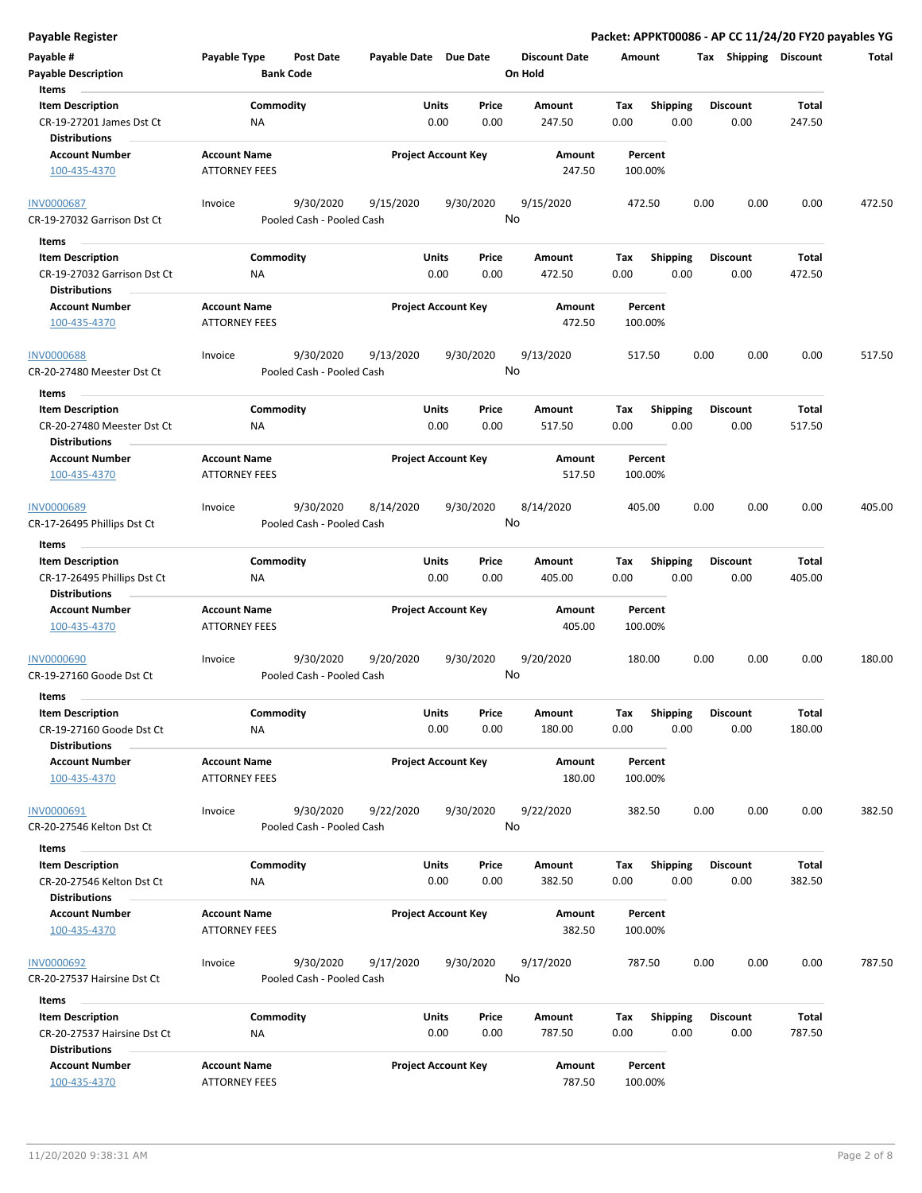**Payable Register Packet: APPKT00086 - AP CC 11/24/20 FY20 payables YG**

| Payable #                   | Payable Type         | <b>Post Date</b>          | Payable Date Due Date |                            | <b>Discount Date</b> |        | Amount  |                 |      | Tax Shipping    | <b>Discount</b> | Total  |
|-----------------------------|----------------------|---------------------------|-----------------------|----------------------------|----------------------|--------|---------|-----------------|------|-----------------|-----------------|--------|
| <b>Payable Description</b>  |                      | <b>Bank Code</b>          |                       |                            | On Hold              |        |         |                 |      |                 |                 |        |
| Items                       |                      |                           |                       |                            |                      |        |         |                 |      |                 |                 |        |
| <b>Item Description</b>     |                      | Commodity                 |                       | Units<br>Price             | Amount               | Tax    |         | <b>Shipping</b> |      | <b>Discount</b> | Total           |        |
| CR-19-27201 James Dst Ct    | ΝA                   |                           |                       | 0.00<br>0.00               | 247.50               | 0.00   |         | 0.00            |      | 0.00            | 247.50          |        |
| <b>Distributions</b>        |                      |                           |                       |                            |                      |        |         |                 |      |                 |                 |        |
| <b>Account Number</b>       | <b>Account Name</b>  |                           |                       | <b>Project Account Key</b> | Amount               |        | Percent |                 |      |                 |                 |        |
| 100-435-4370                | <b>ATTORNEY FEES</b> |                           |                       |                            |                      | 247.50 | 100.00% |                 |      |                 |                 |        |
|                             |                      |                           |                       |                            |                      |        |         |                 |      |                 |                 |        |
| <b>INV0000687</b>           | Invoice              | 9/30/2020                 | 9/15/2020             | 9/30/2020                  | 9/15/2020            |        | 472.50  |                 | 0.00 | 0.00            | 0.00            | 472.50 |
| CR-19-27032 Garrison Dst Ct |                      | Pooled Cash - Pooled Cash |                       |                            | No                   |        |         |                 |      |                 |                 |        |
| Items                       |                      |                           |                       |                            |                      |        |         |                 |      |                 |                 |        |
| <b>Item Description</b>     |                      | Commodity                 |                       | Units<br>Price             | Amount               | Tax    |         | <b>Shipping</b> |      | <b>Discount</b> | Total           |        |
| CR-19-27032 Garrison Dst Ct | NA                   |                           |                       | 0.00<br>0.00               | 472.50               | 0.00   |         | 0.00            |      | 0.00            | 472.50          |        |
| <b>Distributions</b>        |                      |                           |                       |                            |                      |        |         |                 |      |                 |                 |        |
| <b>Account Number</b>       | <b>Account Name</b>  |                           |                       | <b>Project Account Key</b> | Amount               |        | Percent |                 |      |                 |                 |        |
|                             |                      |                           |                       |                            |                      | 472.50 |         |                 |      |                 |                 |        |
| 100-435-4370                | <b>ATTORNEY FEES</b> |                           |                       |                            |                      |        | 100.00% |                 |      |                 |                 |        |
|                             |                      |                           |                       |                            |                      |        |         |                 |      |                 |                 |        |
| <b>INV0000688</b>           | Invoice              | 9/30/2020                 | 9/13/2020             | 9/30/2020                  | 9/13/2020            |        | 517.50  |                 | 0.00 | 0.00            | 0.00            | 517.50 |
| CR-20-27480 Meester Dst Ct  |                      | Pooled Cash - Pooled Cash |                       |                            | No                   |        |         |                 |      |                 |                 |        |
| Items                       |                      |                           |                       |                            |                      |        |         |                 |      |                 |                 |        |
| <b>Item Description</b>     |                      | Commodity                 |                       | Units<br>Price             | Amount               | Tax    |         | <b>Shipping</b> |      | <b>Discount</b> | Total           |        |
| CR-20-27480 Meester Dst Ct  | ΝA                   |                           |                       | 0.00<br>0.00               | 517.50               | 0.00   |         | 0.00            |      | 0.00            | 517.50          |        |
| <b>Distributions</b>        |                      |                           |                       |                            |                      |        |         |                 |      |                 |                 |        |
| <b>Account Number</b>       | <b>Account Name</b>  |                           |                       | <b>Project Account Key</b> | Amount               |        | Percent |                 |      |                 |                 |        |
| 100-435-4370                | <b>ATTORNEY FEES</b> |                           |                       |                            |                      | 517.50 | 100.00% |                 |      |                 |                 |        |
|                             |                      |                           |                       |                            |                      |        |         |                 |      |                 |                 |        |
| <b>INV0000689</b>           | Invoice              | 9/30/2020                 | 8/14/2020             | 9/30/2020                  | 8/14/2020            |        | 405.00  |                 | 0.00 | 0.00            | 0.00            | 405.00 |
| CR-17-26495 Phillips Dst Ct |                      | Pooled Cash - Pooled Cash |                       |                            | No                   |        |         |                 |      |                 |                 |        |
|                             |                      |                           |                       |                            |                      |        |         |                 |      |                 |                 |        |
| Items                       |                      |                           |                       |                            |                      |        |         |                 |      |                 |                 |        |
| <b>Item Description</b>     |                      | Commodity                 |                       | Units<br>Price             | Amount               | Tax    |         | <b>Shipping</b> |      | <b>Discount</b> | Total           |        |
| CR-17-26495 Phillips Dst Ct | <b>NA</b>            |                           |                       | 0.00<br>0.00               | 405.00               | 0.00   |         | 0.00            |      | 0.00            | 405.00          |        |
| <b>Distributions</b>        |                      |                           |                       |                            |                      |        |         |                 |      |                 |                 |        |
| <b>Account Number</b>       | <b>Account Name</b>  |                           |                       | <b>Project Account Key</b> | Amount               |        | Percent |                 |      |                 |                 |        |
| 100-435-4370                | <b>ATTORNEY FEES</b> |                           |                       |                            |                      | 405.00 | 100.00% |                 |      |                 |                 |        |
|                             |                      |                           |                       |                            |                      |        |         |                 |      |                 |                 |        |
| INV0000690                  | Invoice              | 9/30/2020                 | 9/20/2020             | 9/30/2020                  | 9/20/2020            |        | 180.00  |                 | 0.00 | 0.00            | 0.00            | 180.00 |
| CR-19-27160 Goode Dst Ct    |                      | Pooled Cash - Pooled Cash |                       |                            | No                   |        |         |                 |      |                 |                 |        |
| Items                       |                      |                           |                       |                            |                      |        |         |                 |      |                 |                 |        |
| <b>Item Description</b>     |                      | Commodity                 |                       | <b>Units</b><br>Price      | Amount               | Тах    |         | <b>Shipping</b> |      | <b>Discount</b> | Total           |        |
| CR-19-27160 Goode Dst Ct    | ΝA                   |                           |                       | 0.00<br>0.00               | 180.00               | 0.00   |         | 0.00            |      | 0.00            | 180.00          |        |
| <b>Distributions</b>        |                      |                           |                       |                            |                      |        |         |                 |      |                 |                 |        |
| <b>Account Number</b>       | <b>Account Name</b>  |                           |                       | <b>Project Account Key</b> | Amount               |        | Percent |                 |      |                 |                 |        |
| 100-435-4370                | <b>ATTORNEY FEES</b> |                           |                       |                            |                      | 180.00 | 100.00% |                 |      |                 |                 |        |
|                             |                      |                           |                       |                            |                      |        |         |                 |      |                 |                 |        |
| INV0000691                  | Invoice              | 9/30/2020                 | 9/22/2020             | 9/30/2020                  | 9/22/2020            |        | 382.50  |                 | 0.00 | 0.00            | 0.00            | 382.50 |
| CR-20-27546 Kelton Dst Ct   |                      | Pooled Cash - Pooled Cash |                       |                            | No                   |        |         |                 |      |                 |                 |        |
|                             |                      |                           |                       |                            |                      |        |         |                 |      |                 |                 |        |
| Items                       |                      |                           |                       |                            |                      |        |         |                 |      |                 |                 |        |
| <b>Item Description</b>     |                      | Commodity                 |                       | Units<br>Price             | Amount               | Tax    |         | <b>Shipping</b> |      | <b>Discount</b> | Total           |        |
| CR-20-27546 Kelton Dst Ct   | ΝA                   |                           |                       | 0.00<br>0.00               | 382.50               | 0.00   |         | 0.00            |      | 0.00            | 382.50          |        |
| <b>Distributions</b>        |                      |                           |                       |                            |                      |        |         |                 |      |                 |                 |        |
| <b>Account Number</b>       | <b>Account Name</b>  |                           |                       | <b>Project Account Key</b> | Amount               |        | Percent |                 |      |                 |                 |        |
| 100-435-4370                | <b>ATTORNEY FEES</b> |                           |                       |                            |                      | 382.50 | 100.00% |                 |      |                 |                 |        |
|                             |                      |                           |                       |                            |                      |        |         |                 |      |                 |                 |        |
| INV0000692                  | Invoice              | 9/30/2020                 | 9/17/2020             | 9/30/2020                  | 9/17/2020            |        | 787.50  |                 | 0.00 | 0.00            | 0.00            | 787.50 |
| CR-20-27537 Hairsine Dst Ct |                      | Pooled Cash - Pooled Cash |                       |                            | No                   |        |         |                 |      |                 |                 |        |
| Items                       |                      |                           |                       |                            |                      |        |         |                 |      |                 |                 |        |
|                             |                      |                           |                       |                            |                      |        |         |                 |      |                 |                 |        |
| <b>Item Description</b>     |                      | Commodity                 |                       | Units<br>Price             | Amount               | Tax    |         | <b>Shipping</b> |      | <b>Discount</b> | Total           |        |
| CR-20-27537 Hairsine Dst Ct | <b>NA</b>            |                           |                       | 0.00<br>0.00               | 787.50               | 0.00   |         | 0.00            |      | 0.00            | 787.50          |        |
| <b>Distributions</b>        |                      |                           |                       |                            |                      |        |         |                 |      |                 |                 |        |
| <b>Account Number</b>       | <b>Account Name</b>  |                           |                       | <b>Project Account Key</b> | Amount               |        | Percent |                 |      |                 |                 |        |
| 100-435-4370                | <b>ATTORNEY FEES</b> |                           |                       |                            |                      | 787.50 | 100.00% |                 |      |                 |                 |        |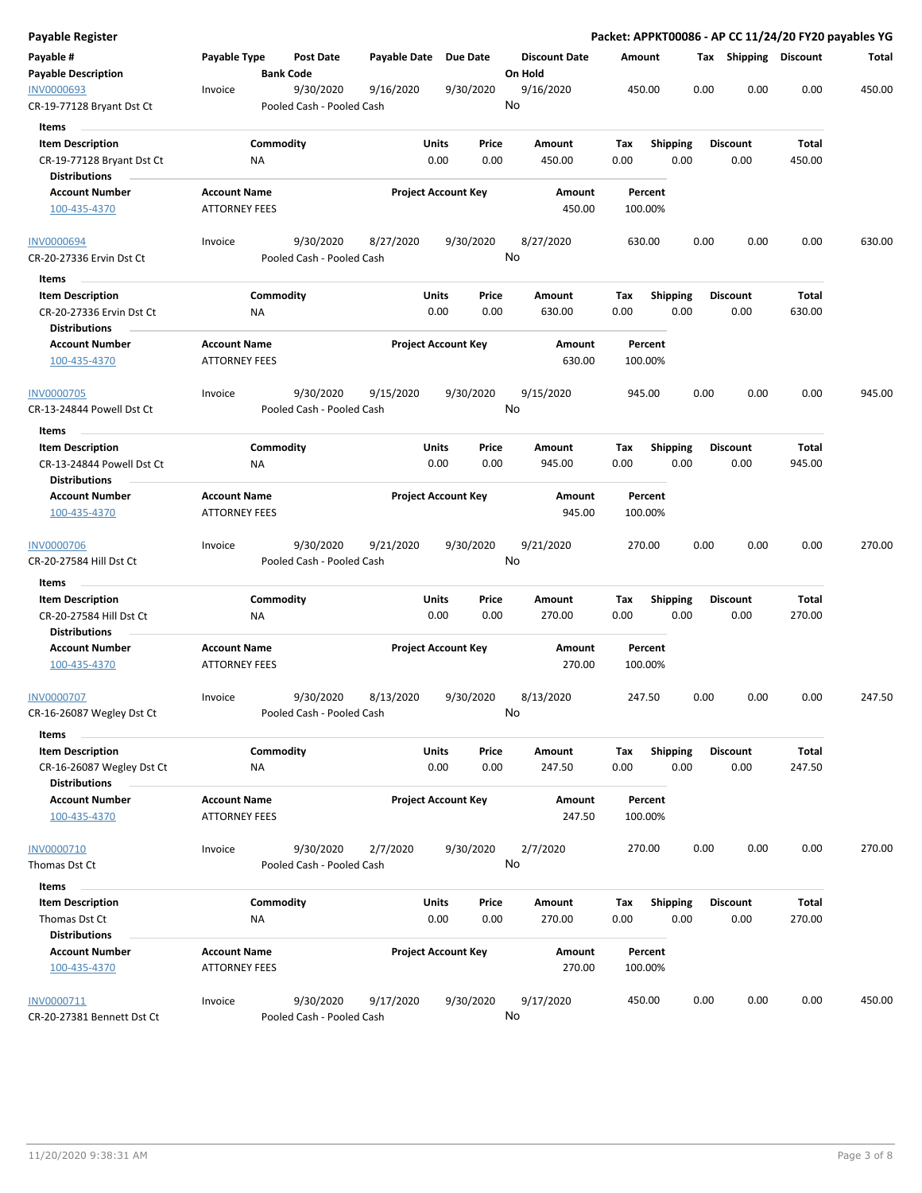| Payable Register           |                      |                  |                           |                       |                            |    |                      |        |         |                 |      |                       |        | Packet: APPKT00086 - AP CC 11/24/20 FY20 payables YG |
|----------------------------|----------------------|------------------|---------------------------|-----------------------|----------------------------|----|----------------------|--------|---------|-----------------|------|-----------------------|--------|------------------------------------------------------|
| Payable #                  | Payable Type         |                  | <b>Post Date</b>          | Payable Date Due Date |                            |    | <b>Discount Date</b> | Amount |         |                 |      | Tax Shipping Discount |        | Total                                                |
| <b>Payable Description</b> |                      | <b>Bank Code</b> |                           |                       |                            |    | On Hold              |        |         |                 |      |                       |        |                                                      |
| <b>INV0000693</b>          | Invoice              |                  | 9/30/2020                 | 9/16/2020             | 9/30/2020                  |    | 9/16/2020            |        | 450.00  |                 | 0.00 | 0.00                  | 0.00   | 450.00                                               |
| CR-19-77128 Bryant Dst Ct  |                      |                  | Pooled Cash - Pooled Cash |                       |                            | No |                      |        |         |                 |      |                       |        |                                                      |
| <b>Items</b>               |                      |                  |                           |                       |                            |    |                      |        |         |                 |      |                       |        |                                                      |
| <b>Item Description</b>    |                      | Commodity        |                           |                       | Units<br>Price             |    | Amount               | Tax    |         | <b>Shipping</b> |      | <b>Discount</b>       | Total  |                                                      |
| CR-19-77128 Bryant Dst Ct  |                      | ΝA               |                           |                       | 0.00<br>0.00               |    | 450.00               | 0.00   |         | 0.00            |      | 0.00                  | 450.00 |                                                      |
| <b>Distributions</b>       |                      |                  |                           |                       |                            |    |                      |        |         |                 |      |                       |        |                                                      |
| <b>Account Number</b>      | <b>Account Name</b>  |                  |                           |                       | <b>Project Account Key</b> |    | Amount               |        | Percent |                 |      |                       |        |                                                      |
| 100-435-4370               | <b>ATTORNEY FEES</b> |                  |                           |                       |                            |    | 450.00               |        | 100.00% |                 |      |                       |        |                                                      |
| <b>INV0000694</b>          | Invoice              |                  | 9/30/2020                 | 8/27/2020             | 9/30/2020                  |    | 8/27/2020            |        | 630.00  |                 | 0.00 | 0.00                  | 0.00   | 630.00                                               |
| CR-20-27336 Ervin Dst Ct   |                      |                  | Pooled Cash - Pooled Cash |                       |                            | No |                      |        |         |                 |      |                       |        |                                                      |
| Items                      |                      |                  |                           |                       |                            |    |                      |        |         |                 |      |                       |        |                                                      |
| <b>Item Description</b>    |                      | Commodity        |                           |                       | Units<br>Price             |    | Amount               | Tax    |         | <b>Shipping</b> |      | <b>Discount</b>       | Total  |                                                      |
| CR-20-27336 Ervin Dst Ct   |                      | <b>NA</b>        |                           |                       | 0.00<br>0.00               |    | 630.00               | 0.00   |         | 0.00            |      | 0.00                  | 630.00 |                                                      |
| <b>Distributions</b>       |                      |                  |                           |                       |                            |    |                      |        |         |                 |      |                       |        |                                                      |
| <b>Account Number</b>      | <b>Account Name</b>  |                  |                           |                       | <b>Project Account Key</b> |    | Amount               |        | Percent |                 |      |                       |        |                                                      |
| 100-435-4370               | <b>ATTORNEY FEES</b> |                  |                           |                       |                            |    | 630.00               |        | 100.00% |                 |      |                       |        |                                                      |
| <b>INV0000705</b>          | Invoice              |                  | 9/30/2020                 | 9/15/2020             | 9/30/2020                  |    | 9/15/2020            |        | 945.00  |                 | 0.00 | 0.00                  | 0.00   | 945.00                                               |
| CR-13-24844 Powell Dst Ct  |                      |                  | Pooled Cash - Pooled Cash |                       |                            | No |                      |        |         |                 |      |                       |        |                                                      |
|                            |                      |                  |                           |                       |                            |    |                      |        |         |                 |      |                       |        |                                                      |
| Items                      |                      |                  |                           |                       |                            |    |                      |        |         |                 |      |                       |        |                                                      |
| <b>Item Description</b>    |                      | Commodity        |                           |                       | Units<br>Price             |    | Amount               | Tax    |         | <b>Shipping</b> |      | <b>Discount</b>       | Total  |                                                      |
| CR-13-24844 Powell Dst Ct  |                      | ΝA               |                           |                       | 0.00<br>0.00               |    | 945.00               | 0.00   |         | 0.00            |      | 0.00                  | 945.00 |                                                      |
| <b>Distributions</b>       |                      |                  |                           |                       |                            |    |                      |        |         |                 |      |                       |        |                                                      |
| <b>Account Number</b>      | <b>Account Name</b>  |                  |                           |                       | <b>Project Account Key</b> |    | Amount               |        | Percent |                 |      |                       |        |                                                      |
| 100-435-4370               | <b>ATTORNEY FEES</b> |                  |                           |                       |                            |    | 945.00               |        | 100.00% |                 |      |                       |        |                                                      |
| <b>INV0000706</b>          | Invoice              |                  | 9/30/2020                 | 9/21/2020             | 9/30/2020                  |    | 9/21/2020            |        | 270.00  |                 | 0.00 | 0.00                  | 0.00   | 270.00                                               |
| CR-20-27584 Hill Dst Ct    |                      |                  | Pooled Cash - Pooled Cash |                       |                            | No |                      |        |         |                 |      |                       |        |                                                      |
| Items                      |                      |                  |                           |                       |                            |    |                      |        |         |                 |      |                       |        |                                                      |
| <b>Item Description</b>    |                      | Commodity        |                           |                       | Units<br>Price             |    | Amount               | Tax    |         | <b>Shipping</b> |      | <b>Discount</b>       | Total  |                                                      |
| CR-20-27584 Hill Dst Ct    |                      |                  |                           |                       | 0.00<br>0.00               |    | 270.00               | 0.00   |         | 0.00            |      | 0.00                  | 270.00 |                                                      |
| <b>Distributions</b>       |                      | ΝA               |                           |                       |                            |    |                      |        |         |                 |      |                       |        |                                                      |
|                            | <b>Account Name</b>  |                  |                           |                       | <b>Project Account Key</b> |    |                      |        | Percent |                 |      |                       |        |                                                      |
| <b>Account Number</b>      |                      |                  |                           |                       |                            |    | Amount               |        |         |                 |      |                       |        |                                                      |
| 100-435-4370               | <b>ATTORNEY FEES</b> |                  |                           |                       |                            |    | 270.00               |        | 100.00% |                 |      |                       |        |                                                      |
| <b>INV0000707</b>          | Invoice              |                  | 9/30/2020                 | 8/13/2020             | 9/30/2020                  |    | 8/13/2020            |        | 247.50  |                 | 0.00 | 0.00                  | 0.00   | 247.50                                               |
| CR-16-26087 Wegley Dst Ct  |                      |                  | Pooled Cash - Pooled Cash |                       |                            | No |                      |        |         |                 |      |                       |        |                                                      |
| Items                      |                      |                  |                           |                       |                            |    |                      |        |         |                 |      |                       |        |                                                      |
| <b>Item Description</b>    |                      | Commodity        |                           |                       | Units<br>Price             |    | Amount               | Tax    |         | Shipping        |      | Discount              | Total  |                                                      |
| CR-16-26087 Wegley Dst Ct  |                      | <b>NA</b>        |                           |                       | 0.00<br>0.00               |    | 247.50               | 0.00   |         | 0.00            |      | 0.00                  | 247.50 |                                                      |
| <b>Distributions</b>       |                      |                  |                           |                       |                            |    |                      |        |         |                 |      |                       |        |                                                      |
| <b>Account Number</b>      | <b>Account Name</b>  |                  |                           |                       | <b>Project Account Key</b> |    | Amount               |        | Percent |                 |      |                       |        |                                                      |
| 100-435-4370               | <b>ATTORNEY FEES</b> |                  |                           |                       |                            |    | 247.50               |        | 100.00% |                 |      |                       |        |                                                      |
|                            |                      |                  |                           |                       |                            |    |                      |        |         |                 |      |                       |        |                                                      |
| INV0000710                 | Invoice              |                  | 9/30/2020                 | 2/7/2020              | 9/30/2020                  |    | 2/7/2020             |        | 270.00  |                 | 0.00 | 0.00                  | 0.00   | 270.00                                               |
| Thomas Dst Ct              |                      |                  | Pooled Cash - Pooled Cash |                       |                            | No |                      |        |         |                 |      |                       |        |                                                      |
| Items                      |                      |                  |                           |                       |                            |    |                      |        |         |                 |      |                       |        |                                                      |
| <b>Item Description</b>    |                      | Commodity        |                           |                       | Units<br>Price             |    | Amount               | Tax    |         | <b>Shipping</b> |      | <b>Discount</b>       | Total  |                                                      |
| Thomas Dst Ct              |                      | ΝA               |                           |                       | 0.00<br>0.00               |    | 270.00               | 0.00   |         | 0.00            |      | 0.00                  | 270.00 |                                                      |
| <b>Distributions</b>       |                      |                  |                           |                       |                            |    |                      |        |         |                 |      |                       |        |                                                      |
| <b>Account Number</b>      | <b>Account Name</b>  |                  |                           |                       | <b>Project Account Key</b> |    | Amount               |        | Percent |                 |      |                       |        |                                                      |
| 100-435-4370               | <b>ATTORNEY FEES</b> |                  |                           |                       |                            |    | 270.00               |        | 100.00% |                 |      |                       |        |                                                      |
|                            |                      |                  |                           |                       |                            |    |                      |        |         |                 |      |                       |        |                                                      |
| INV0000711                 | Invoice              |                  | 9/30/2020                 | 9/17/2020             | 9/30/2020                  |    | 9/17/2020            |        | 450.00  |                 | 0.00 | 0.00                  | 0.00   | 450.00                                               |
| CR-20-27381 Bennett Dst Ct |                      |                  | Pooled Cash - Pooled Cash |                       |                            |    | No                   |        |         |                 |      |                       |        |                                                      |
|                            |                      |                  |                           |                       |                            |    |                      |        |         |                 |      |                       |        |                                                      |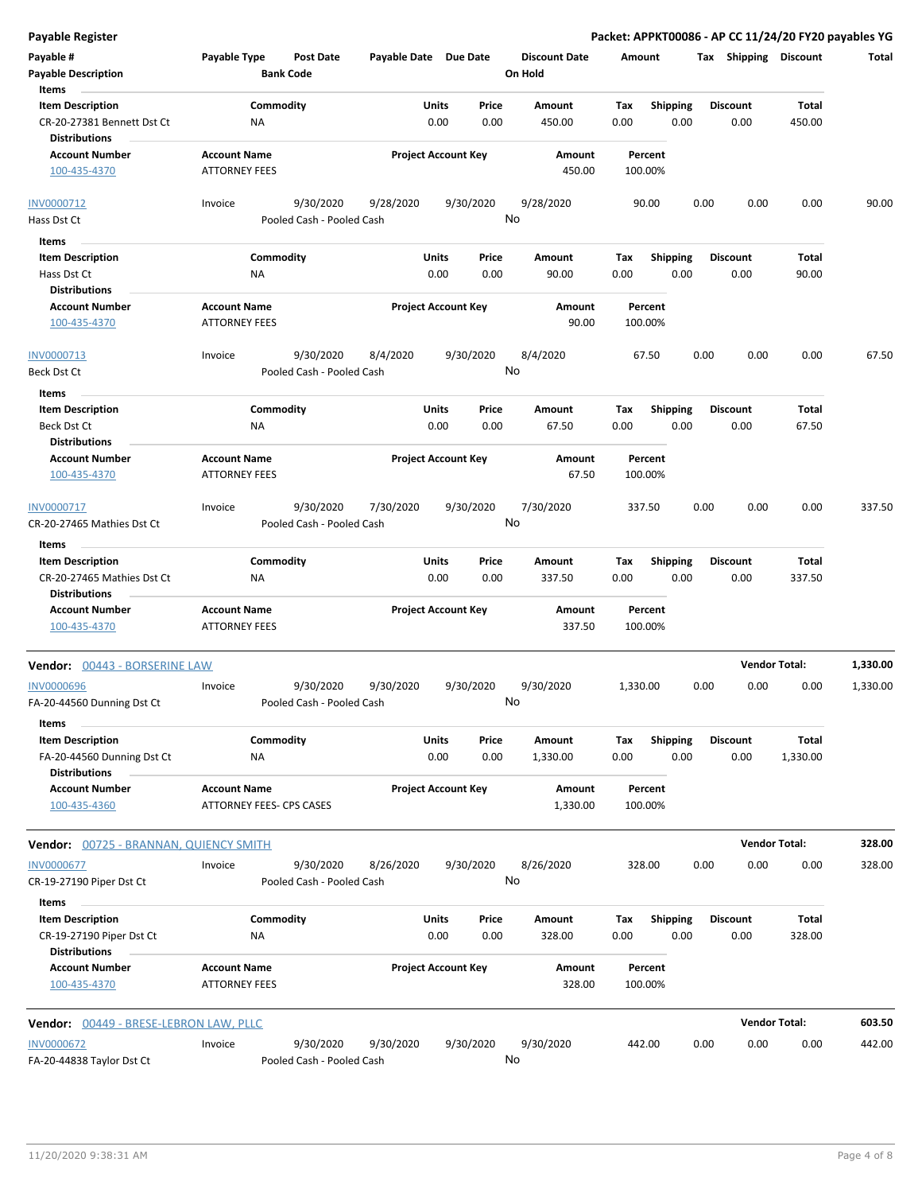**Payable Register Packet: APPKT00086 - AP CC 11/24/20 FY20 payables YG**

| Payable #                                           | Payable Type                                    | <b>Post Date</b>          | Payable Date Due Date |                            |               | <b>Discount Date</b> | Amount             |                  | Tax  | Shipping                | <b>Discount</b>      | Total    |
|-----------------------------------------------------|-------------------------------------------------|---------------------------|-----------------------|----------------------------|---------------|----------------------|--------------------|------------------|------|-------------------------|----------------------|----------|
| <b>Payable Description</b>                          |                                                 | <b>Bank Code</b>          |                       |                            |               | On Hold              |                    |                  |      |                         |                      |          |
| Items                                               |                                                 |                           |                       |                            |               |                      |                    |                  |      |                         |                      |          |
| <b>Item Description</b>                             |                                                 | Commodity                 |                       | Units                      | Price         | Amount               | Tax                | <b>Shipping</b>  |      | <b>Discount</b>         | <b>Total</b>         |          |
| CR-20-27381 Bennett Dst Ct<br><b>Distributions</b>  | <b>NA</b>                                       |                           |                       | 0.00                       | 0.00          | 450.00               | 0.00               | 0.00             |      | 0.00                    | 450.00               |          |
| <b>Account Number</b>                               | <b>Account Name</b>                             |                           |                       | <b>Project Account Key</b> |               | Amount               | Percent            |                  |      |                         |                      |          |
| 100-435-4370                                        | <b>ATTORNEY FEES</b>                            |                           |                       |                            |               | 450.00               | 100.00%            |                  |      |                         |                      |          |
| INV0000712                                          | Invoice                                         | 9/30/2020                 | 9/28/2020             |                            | 9/30/2020     | 9/28/2020            | 90.00              |                  | 0.00 | 0.00                    | 0.00                 | 90.00    |
| Hass Dst Ct                                         |                                                 | Pooled Cash - Pooled Cash |                       |                            |               | No                   |                    |                  |      |                         |                      |          |
| Items                                               |                                                 |                           |                       |                            |               |                      |                    |                  |      |                         |                      |          |
| <b>Item Description</b>                             |                                                 | Commodity                 |                       | Units                      | Price         | Amount               | Tax                | <b>Shipping</b>  |      | <b>Discount</b>         | Total                |          |
| Hass Dst Ct                                         | NA                                              |                           |                       | 0.00                       | 0.00          | 90.00                | 0.00               | 0.00             |      | 0.00                    | 90.00                |          |
| <b>Distributions</b>                                |                                                 |                           |                       |                            |               |                      |                    |                  |      |                         |                      |          |
| <b>Account Number</b>                               | <b>Account Name</b>                             |                           |                       | <b>Project Account Key</b> |               | Amount               | Percent            |                  |      |                         |                      |          |
| 100-435-4370                                        | <b>ATTORNEY FEES</b>                            |                           |                       |                            |               | 90.00                | 100.00%            |                  |      |                         |                      |          |
| INV0000713                                          | Invoice                                         | 9/30/2020                 | 8/4/2020              |                            | 9/30/2020     | 8/4/2020             | 67.50              |                  | 0.00 | 0.00                    | 0.00                 | 67.50    |
| Beck Dst Ct                                         |                                                 | Pooled Cash - Pooled Cash |                       |                            |               | No                   |                    |                  |      |                         |                      |          |
| Items                                               |                                                 |                           |                       |                            |               |                      |                    |                  |      |                         |                      |          |
| <b>Item Description</b>                             |                                                 | Commodity                 |                       | Units                      | Price         | <b>Amount</b>        | Tax                | <b>Shipping</b>  |      | <b>Discount</b>         | Total                |          |
| Beck Dst Ct<br><b>Distributions</b>                 | NA                                              |                           |                       | 0.00                       | 0.00          | 67.50                | 0.00               | 0.00             |      | 0.00                    | 67.50                |          |
| <b>Account Number</b>                               | <b>Account Name</b>                             |                           |                       | <b>Project Account Key</b> |               | Amount               | Percent            |                  |      |                         |                      |          |
| 100-435-4370                                        | <b>ATTORNEY FEES</b>                            |                           |                       |                            |               | 67.50                | 100.00%            |                  |      |                         |                      |          |
| INV0000717                                          | Invoice                                         | 9/30/2020                 | 7/30/2020             |                            | 9/30/2020     | 7/30/2020            | 337.50             |                  | 0.00 | 0.00                    | 0.00                 | 337.50   |
| CR-20-27465 Mathies Dst Ct                          |                                                 | Pooled Cash - Pooled Cash |                       |                            |               | No                   |                    |                  |      |                         |                      |          |
| Items                                               |                                                 |                           |                       |                            |               |                      |                    |                  |      |                         |                      |          |
| <b>Item Description</b>                             |                                                 | Commodity                 |                       | Units                      | Price         | Amount               | Tax                | <b>Shipping</b>  |      | <b>Discount</b>         | Total                |          |
| CR-20-27465 Mathies Dst Ct<br><b>Distributions</b>  | <b>NA</b>                                       |                           |                       | 0.00                       | 0.00          | 337.50               | 0.00               | 0.00             |      | 0.00                    | 337.50               |          |
| <b>Account Number</b>                               | <b>Account Name</b>                             |                           |                       | <b>Project Account Key</b> |               | Amount               | Percent            |                  |      |                         |                      |          |
| 100-435-4370                                        | <b>ATTORNEY FEES</b>                            |                           |                       |                            |               | 337.50               | 100.00%            |                  |      |                         |                      |          |
| Vendor: 00443 - BORSERINE LAW                       |                                                 |                           |                       |                            |               |                      |                    |                  |      |                         | <b>Vendor Total:</b> | 1,330.00 |
| <b>INV0000696</b>                                   | Invoice                                         | 9/30/2020                 | 9/30/2020             |                            | 9/30/2020     | 9/30/2020            | 1,330.00           |                  | 0.00 | 0.00                    | 0.00                 | 1,330.00 |
| FA-20-44560 Dunning Dst Ct<br>Items                 |                                                 | Pooled Cash - Pooled Cash |                       |                            |               | No                   |                    |                  |      |                         |                      |          |
| <b>Item Description</b>                             |                                                 | Commodity                 |                       | Units                      | Price         | Amount               | Tax                | Shipping         |      | <b>Discount</b>         | Total                |          |
| FA-20-44560 Dunning Dst Ct                          | ΝA                                              |                           |                       | 0.00                       | 0.00          | 1,330.00             | 0.00               | 0.00             |      | 0.00                    | 1,330.00             |          |
| <b>Distributions</b>                                |                                                 |                           |                       |                            |               |                      |                    |                  |      |                         |                      |          |
| <b>Account Number</b><br>100-435-4360               | <b>Account Name</b><br>ATTORNEY FEES- CPS CASES |                           |                       | <b>Project Account Key</b> |               | Amount<br>1,330.00   | Percent<br>100.00% |                  |      |                         |                      |          |
| Vendor: 00725 - BRANNAN, QUIENCY SMITH              |                                                 |                           |                       |                            |               |                      |                    |                  |      |                         | <b>Vendor Total:</b> | 328.00   |
| <b>INV0000677</b>                                   | Invoice                                         | 9/30/2020                 | 8/26/2020             |                            | 9/30/2020     | 8/26/2020            | 328.00             |                  | 0.00 | 0.00                    | 0.00                 | 328.00   |
| CR-19-27190 Piper Dst Ct                            |                                                 | Pooled Cash - Pooled Cash |                       |                            |               | No                   |                    |                  |      |                         |                      |          |
| Items                                               |                                                 |                           |                       |                            |               |                      |                    |                  |      |                         |                      |          |
| <b>Item Description</b><br>CR-19-27190 Piper Dst Ct | ΝA                                              | Commodity                 |                       | Units<br>0.00              | Price<br>0.00 | Amount<br>328.00     | Tax<br>0.00        | Shipping<br>0.00 |      | <b>Discount</b><br>0.00 | Total<br>328.00      |          |
| <b>Distributions</b>                                |                                                 |                           |                       |                            |               |                      |                    |                  |      |                         |                      |          |
| <b>Account Number</b><br>100-435-4370               | <b>Account Name</b><br><b>ATTORNEY FEES</b>     |                           |                       | <b>Project Account Key</b> |               | Amount<br>328.00     | Percent<br>100.00% |                  |      |                         |                      |          |
| Vendor: 00449 - BRESE-LEBRON LAW, PLLC              |                                                 |                           |                       |                            |               |                      |                    |                  |      |                         | <b>Vendor Total:</b> | 603.50   |
| <b>INV0000672</b>                                   | Invoice                                         | 9/30/2020                 | 9/30/2020             |                            | 9/30/2020     | 9/30/2020            | 442.00             |                  | 0.00 | 0.00                    | 0.00                 | 442.00   |
| FA-20-44838 Taylor Dst Ct                           |                                                 | Pooled Cash - Pooled Cash |                       |                            |               | No                   |                    |                  |      |                         |                      |          |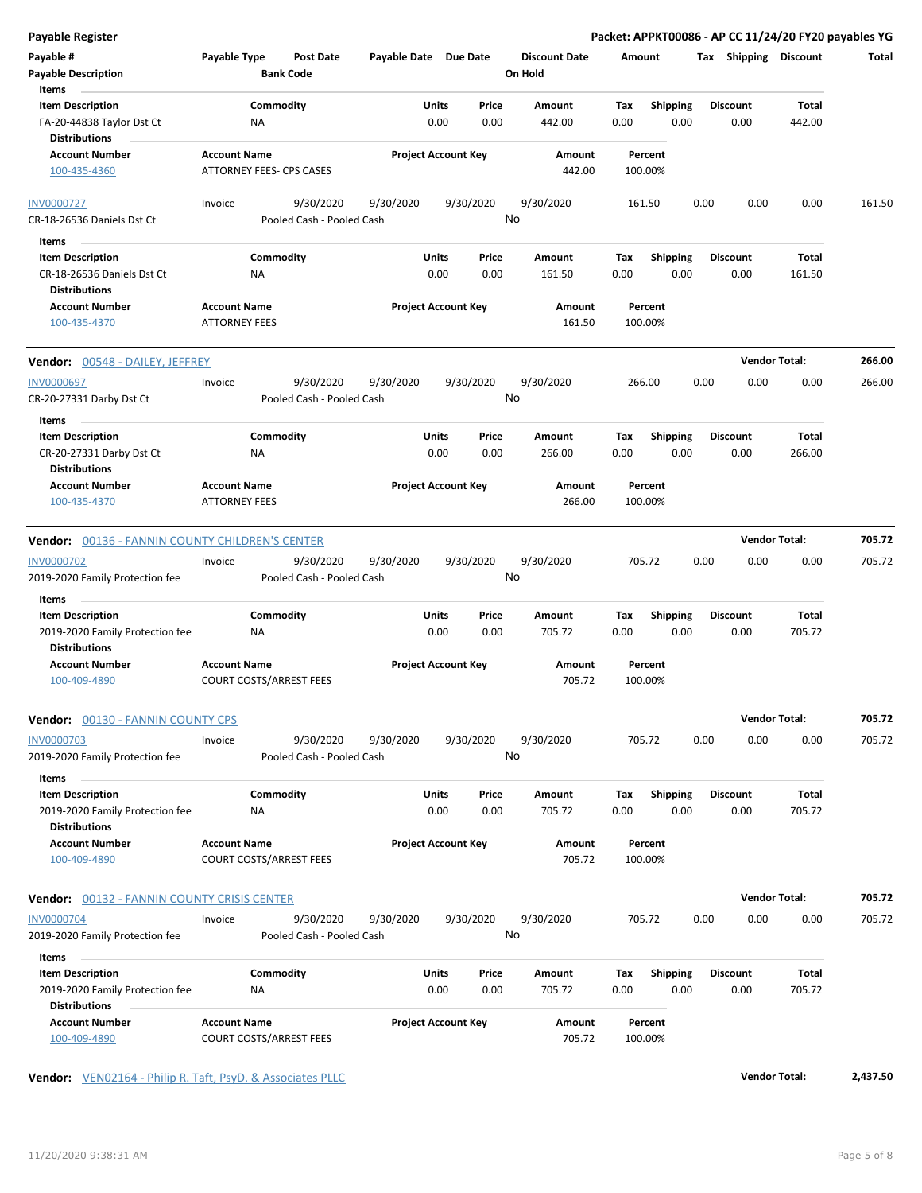| <b>Payable Register</b>                                                     |                                             |                                |           |                            |      |               |                      |             |                         |      |                         | Packet: APPKT00086 - AP CC 11/24/20 FY20 payables YG |        |
|-----------------------------------------------------------------------------|---------------------------------------------|--------------------------------|-----------|----------------------------|------|---------------|----------------------|-------------|-------------------------|------|-------------------------|------------------------------------------------------|--------|
| Payable #                                                                   | <b>Payable Type</b>                         | <b>Post Date</b>               |           | Payable Date Due Date      |      |               | <b>Discount Date</b> | Amount      |                         |      | Tax Shipping Discount   |                                                      | Total  |
| <b>Payable Description</b>                                                  |                                             | <b>Bank Code</b>               |           |                            |      |               | On Hold              |             |                         |      |                         |                                                      |        |
| Items                                                                       |                                             |                                |           |                            |      |               |                      |             |                         |      |                         |                                                      |        |
| <b>Item Description</b>                                                     |                                             | Commodity                      |           | Units                      |      | Price         | <b>Amount</b>        | Tax         | <b>Shipping</b>         |      | <b>Discount</b>         | Total                                                |        |
| FA-20-44838 Taylor Dst Ct<br><b>Distributions</b>                           |                                             | ΝA                             |           |                            | 0.00 | 0.00          | 442.00               | 0.00        | 0.00                    |      | 0.00                    | 442.00                                               |        |
| <b>Account Number</b>                                                       | <b>Account Name</b>                         |                                |           | <b>Project Account Key</b> |      |               | Amount               |             | Percent                 |      |                         |                                                      |        |
| 100-435-4360                                                                |                                             | ATTORNEY FEES- CPS CASES       |           |                            |      |               | 442.00               |             | 100.00%                 |      |                         |                                                      |        |
| <b>INV0000727</b>                                                           | Invoice                                     | 9/30/2020                      | 9/30/2020 |                            |      | 9/30/2020     | 9/30/2020            |             | 161.50                  | 0.00 | 0.00                    | 0.00                                                 | 161.50 |
| CR-18-26536 Daniels Dst Ct                                                  |                                             | Pooled Cash - Pooled Cash      |           |                            |      |               | No                   |             |                         |      |                         |                                                      |        |
| ltems                                                                       |                                             |                                |           |                            |      |               |                      |             |                         |      |                         |                                                      |        |
| <b>Item Description</b>                                                     |                                             | Commodity                      |           | Units                      |      | Price         | Amount               | Tax         | <b>Shipping</b>         |      | <b>Discount</b>         | Total                                                |        |
| CR-18-26536 Daniels Dst Ct                                                  |                                             | ΝA                             |           |                            | 0.00 | 0.00          | 161.50               | 0.00        | 0.00                    |      | 0.00                    | 161.50                                               |        |
| <b>Distributions</b>                                                        |                                             |                                |           |                            |      |               |                      |             |                         |      |                         |                                                      |        |
| <b>Account Number</b><br>100-435-4370                                       | <b>Account Name</b><br><b>ATTORNEY FEES</b> |                                |           | <b>Project Account Key</b> |      |               | Amount<br>161.50     |             | Percent<br>100.00%      |      |                         |                                                      |        |
| Vendor: 00548 - DAILEY, JEFFREY                                             |                                             |                                |           |                            |      |               |                      |             |                         |      |                         | <b>Vendor Total:</b>                                 | 266.00 |
| <b>INV0000697</b>                                                           | Invoice                                     | 9/30/2020                      | 9/30/2020 |                            |      | 9/30/2020     | 9/30/2020            |             | 266.00                  | 0.00 | 0.00                    | 0.00                                                 | 266.00 |
| CR-20-27331 Darby Dst Ct                                                    |                                             | Pooled Cash - Pooled Cash      |           |                            |      |               | No                   |             |                         |      |                         |                                                      |        |
| Items                                                                       |                                             |                                |           |                            |      |               |                      |             |                         |      |                         |                                                      |        |
| <b>Item Description</b><br>CR-20-27331 Darby Dst Ct<br><b>Distributions</b> |                                             | Commodity<br>NA                |           | Units                      | 0.00 | Price<br>0.00 | Amount<br>266.00     | Tax<br>0.00 | <b>Shipping</b><br>0.00 |      | <b>Discount</b><br>0.00 | Total<br>266.00                                      |        |
| <b>Account Number</b>                                                       | <b>Account Name</b>                         |                                |           | <b>Project Account Key</b> |      |               | Amount               |             | Percent                 |      |                         |                                                      |        |
| 100-435-4370                                                                | <b>ATTORNEY FEES</b>                        |                                |           |                            |      |               | 266.00               |             | 100.00%                 |      |                         |                                                      |        |
| <b>Vendor: 00136 - FANNIN COUNTY CHILDREN'S CENTER</b>                      |                                             |                                |           |                            |      |               |                      |             |                         |      |                         | <b>Vendor Total:</b>                                 | 705.72 |
| <b>INV0000702</b>                                                           | Invoice                                     | 9/30/2020                      | 9/30/2020 |                            |      | 9/30/2020     | 9/30/2020            |             | 705.72                  | 0.00 | 0.00                    | 0.00                                                 | 705.72 |
| 2019-2020 Family Protection fee                                             |                                             | Pooled Cash - Pooled Cash      |           |                            |      |               | No                   |             |                         |      |                         |                                                      |        |
| Items                                                                       |                                             |                                |           |                            |      |               |                      |             |                         |      |                         |                                                      |        |
| <b>Item Description</b>                                                     |                                             | Commodity                      |           | Units                      |      | Price         | Amount               | Tax         | <b>Shipping</b>         |      | <b>Discount</b>         | Total                                                |        |
| 2019-2020 Family Protection fee<br><b>Distributions</b>                     |                                             | ΝA                             |           |                            | 0.00 | 0.00          | 705.72               | 0.00        | 0.00                    |      | 0.00                    | 705.72                                               |        |
| <b>Account Number</b>                                                       | <b>Account Name</b>                         |                                |           | <b>Project Account Key</b> |      |               | Amount               |             | Percent                 |      |                         |                                                      |        |
| 100-409-4890                                                                |                                             | <b>COURT COSTS/ARREST FEES</b> |           |                            |      |               | 705.72               |             | 100.00%                 |      |                         |                                                      |        |
| Vendor: 00130 - FANNIN COUNTY CPS                                           |                                             |                                |           |                            |      |               |                      |             |                         |      |                         | <b>Vendor Total:</b>                                 | 705.72 |
| <b>INV0000703</b>                                                           | Invoice                                     | 9/30/2020                      | 9/30/2020 |                            |      | 9/30/2020     | 9/30/2020            |             | 705.72                  | 0.00 | 0.00                    | 0.00                                                 | 705.72 |
| 2019-2020 Family Protection fee                                             |                                             | Pooled Cash - Pooled Cash      |           |                            |      |               | No                   |             |                         |      |                         |                                                      |        |
| Items                                                                       |                                             |                                |           |                            |      |               |                      |             |                         |      |                         |                                                      |        |
| <b>Item Description</b><br>2019-2020 Family Protection fee                  |                                             | Commodity<br>ΝA                |           | Units                      | 0.00 | Price<br>0.00 | Amount<br>705.72     | Тах<br>0.00 | <b>Shipping</b><br>0.00 |      | <b>Discount</b><br>0.00 | <b>Total</b><br>705.72                               |        |
| <b>Distributions</b>                                                        |                                             |                                |           |                            |      |               |                      |             |                         |      |                         |                                                      |        |
| <b>Account Number</b><br>100-409-4890                                       | <b>Account Name</b>                         | <b>COURT COSTS/ARREST FEES</b> |           | <b>Project Account Key</b> |      |               | Amount<br>705.72     |             | Percent<br>100.00%      |      |                         |                                                      |        |
| Vendor: 00132 - FANNIN COUNTY CRISIS CENTER                                 |                                             |                                |           |                            |      |               |                      |             |                         |      |                         | <b>Vendor Total:</b>                                 | 705.72 |
| <b>INV0000704</b>                                                           | Invoice                                     | 9/30/2020                      | 9/30/2020 |                            |      | 9/30/2020     | 9/30/2020            |             | 705.72                  | 0.00 | 0.00                    | 0.00                                                 | 705.72 |
| 2019-2020 Family Protection fee                                             |                                             | Pooled Cash - Pooled Cash      |           |                            |      |               | No                   |             |                         |      |                         |                                                      |        |
| Items                                                                       |                                             |                                |           |                            |      |               |                      |             |                         |      |                         |                                                      |        |
| <b>Item Description</b><br>2019-2020 Family Protection fee                  |                                             | Commodity<br>ΝA                |           | Units                      | 0.00 | Price<br>0.00 | Amount<br>705.72     | Tax<br>0.00 | <b>Shipping</b><br>0.00 |      | <b>Discount</b><br>0.00 | <b>Total</b><br>705.72                               |        |
| <b>Distributions</b><br><b>Account Number</b><br>100-409-4890               | <b>Account Name</b>                         | COURT COSTS/ARREST FEES        |           | <b>Project Account Key</b> |      |               | Amount<br>705.72     |             | Percent<br>100.00%      |      |                         |                                                      |        |

**Vendor:** VEN02164 - Philip R. Taft, PsyD. & Associates PLLC **Vendor Total: 2,437.50**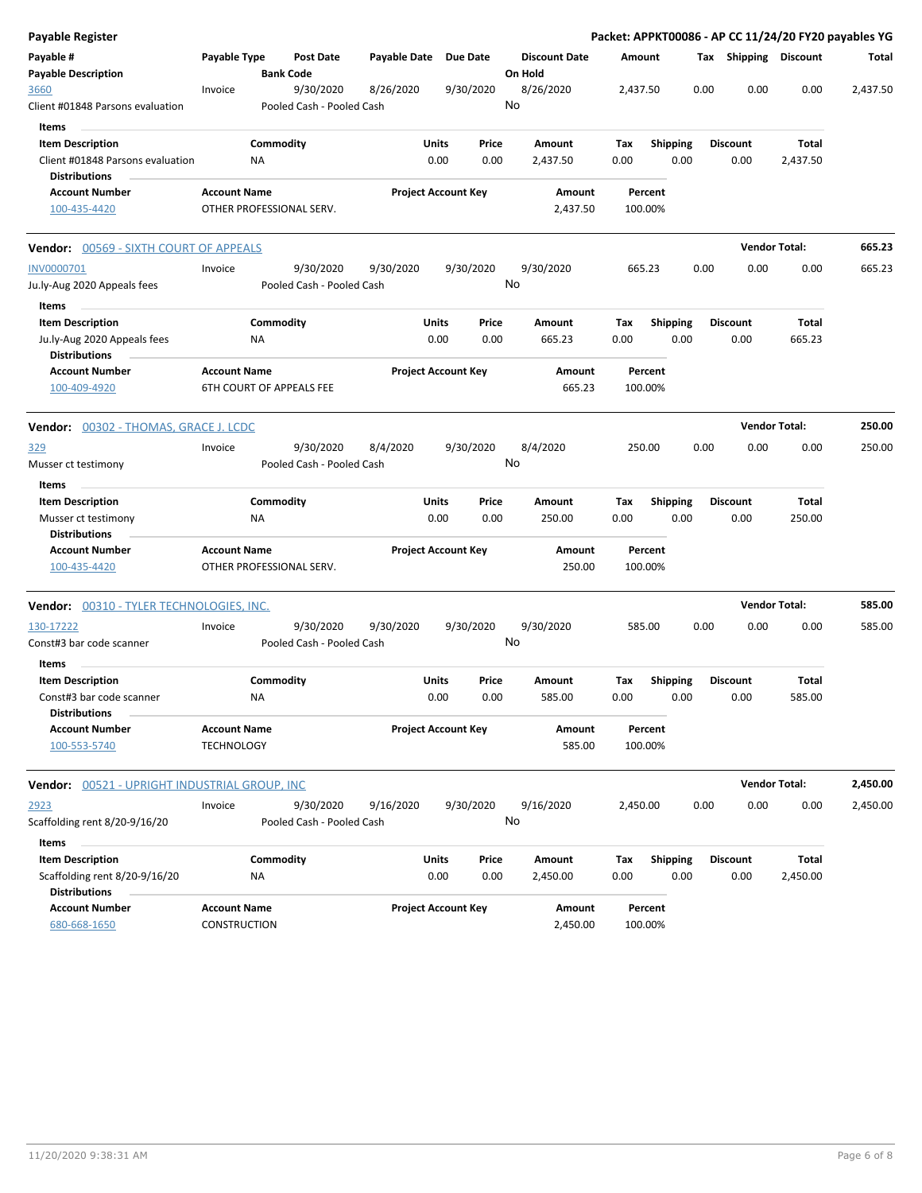| <b>Payable Register</b>                                                |                                          |                                 |                                        |                       |                            |               |         |                      |             |                    |      |                         | Packet: APPKT00086 - AP CC 11/24/20 FY20 payables YG |          |
|------------------------------------------------------------------------|------------------------------------------|---------------------------------|----------------------------------------|-----------------------|----------------------------|---------------|---------|----------------------|-------------|--------------------|------|-------------------------|------------------------------------------------------|----------|
| Payable #<br><b>Payable Description</b>                                | Payable Type                             | <b>Bank Code</b>                | <b>Post Date</b>                       | Payable Date Due Date |                            |               | On Hold | <b>Discount Date</b> | Amount      |                    |      | Tax Shipping Discount   |                                                      | Total    |
| 3660<br>Client #01848 Parsons evaluation                               | Invoice                                  |                                 | 9/30/2020<br>Pooled Cash - Pooled Cash | 8/26/2020             |                            | 9/30/2020     | No      | 8/26/2020            | 2,437.50    |                    |      | 0.00<br>0.00            | 0.00                                                 | 2,437.50 |
| Items<br><b>Item Description</b><br>Client #01848 Parsons evaluation   |                                          | Commodity<br>ΝA                 |                                        |                       | <b>Units</b><br>0.00       | Price<br>0.00 |         | Amount<br>2,437.50   | Tax<br>0.00 | <b>Shipping</b>    | 0.00 | <b>Discount</b><br>0.00 | Total<br>2,437.50                                    |          |
| <b>Distributions</b>                                                   |                                          |                                 |                                        |                       |                            |               |         |                      |             |                    |      |                         |                                                      |          |
| <b>Account Number</b><br>100-435-4420                                  | <b>Account Name</b>                      | OTHER PROFESSIONAL SERV.        |                                        |                       | <b>Project Account Key</b> |               |         | Amount<br>2,437.50   |             | Percent<br>100.00% |      |                         |                                                      |          |
| Vendor: 00569 - SIXTH COURT OF APPEALS                                 |                                          |                                 |                                        |                       |                            |               |         |                      |             |                    |      |                         | <b>Vendor Total:</b>                                 | 665.23   |
| INV0000701<br>Ju.ly-Aug 2020 Appeals fees                              | Invoice                                  |                                 | 9/30/2020<br>Pooled Cash - Pooled Cash | 9/30/2020             |                            | 9/30/2020     | No      | 9/30/2020            | 665.23      |                    |      | 0.00<br>0.00            | 0.00                                                 | 665.23   |
| Items<br><b>Item Description</b>                                       |                                          | Commodity                       |                                        |                       | Units                      | Price         |         | Amount               | Tax         |                    |      | <b>Discount</b>         | Total                                                |          |
| Ju.ly-Aug 2020 Appeals fees<br><b>Distributions</b>                    |                                          | ΝA                              |                                        |                       | 0.00                       | 0.00          |         | 665.23               | 0.00        | <b>Shipping</b>    | 0.00 | 0.00                    | 665.23                                               |          |
| <b>Account Number</b><br>100-409-4920                                  | <b>Account Name</b>                      | <b>6TH COURT OF APPEALS FEE</b> |                                        |                       | <b>Project Account Key</b> |               |         | Amount<br>665.23     |             | Percent<br>100.00% |      |                         |                                                      |          |
| Vendor: 00302 - THOMAS, GRACE J. LCDC                                  |                                          |                                 |                                        |                       |                            |               |         |                      |             |                    |      |                         | <b>Vendor Total:</b>                                 | 250.00   |
| 329<br>Musser ct testimony                                             | Invoice                                  |                                 | 9/30/2020<br>Pooled Cash - Pooled Cash | 8/4/2020              |                            | 9/30/2020     | No      | 8/4/2020             |             | 250.00             |      | 0.00<br>0.00            | 0.00                                                 | 250.00   |
| Items                                                                  |                                          |                                 |                                        |                       |                            |               |         |                      |             |                    |      |                         |                                                      |          |
| <b>Item Description</b><br>Musser ct testimony<br><b>Distributions</b> |                                          | Commodity<br><b>NA</b>          |                                        |                       | Units<br>0.00              | Price<br>0.00 |         | Amount<br>250.00     | Tax<br>0.00 | <b>Shipping</b>    | 0.00 | <b>Discount</b><br>0.00 | Total<br>250.00                                      |          |
| <b>Account Number</b><br>100-435-4420                                  | <b>Account Name</b>                      | OTHER PROFESSIONAL SERV.        |                                        |                       | <b>Project Account Key</b> |               |         | Amount<br>250.00     |             | Percent<br>100.00% |      |                         |                                                      |          |
| Vendor: 00310 - TYLER TECHNOLOGIES, INC.                               |                                          |                                 |                                        |                       |                            |               |         |                      |             |                    |      |                         | <b>Vendor Total:</b>                                 | 585.00   |
| 130-17222<br>Const#3 bar code scanner<br>Items                         | Invoice                                  |                                 | 9/30/2020<br>Pooled Cash - Pooled Cash | 9/30/2020             |                            | 9/30/2020     | No      | 9/30/2020            |             | 585.00             |      | 0.00<br>0.00            | 0.00                                                 | 585.00   |
| <b>Item Description</b>                                                |                                          | Commodity                       |                                        |                       | Units                      | Price         |         | Amount               | Tax         | <b>Shipping</b>    |      | <b>Discount</b>         | Total                                                |          |
| Const#3 bar code scanner<br><b>Distributions</b>                       |                                          | ΝA                              |                                        |                       | 0.00                       | 0.00          |         | 585.00               | 0.00        |                    | 0.00 | 0.00                    | 585.00                                               |          |
| <b>Account Number</b><br>100-553-5740                                  | <b>Account Name</b><br><b>TECHNOLOGY</b> |                                 |                                        |                       | <b>Project Account Key</b> |               |         | Amount<br>585.00     |             | Percent<br>100.00% |      |                         |                                                      |          |
| Vendor: 00521 - UPRIGHT INDUSTRIAL GROUP, INC                          |                                          |                                 |                                        |                       |                            |               |         |                      |             |                    |      |                         | <b>Vendor Total:</b>                                 | 2,450.00 |
| 2923                                                                   | Invoice                                  |                                 | 9/30/2020                              | 9/16/2020             |                            | 9/30/2020     |         | 9/16/2020            | 2,450.00    |                    |      | 0.00<br>0.00            | 0.00                                                 | 2,450.00 |
| Scaffolding rent 8/20-9/16/20                                          |                                          |                                 | Pooled Cash - Pooled Cash              |                       |                            |               | No      |                      |             |                    |      |                         |                                                      |          |
| Items                                                                  |                                          |                                 |                                        |                       |                            |               |         |                      |             |                    |      |                         |                                                      |          |
| <b>Item Description</b><br>Scaffolding rent 8/20-9/16/20               |                                          | Commodity<br>ΝA                 |                                        |                       | <b>Units</b><br>0.00       | Price<br>0.00 |         | Amount<br>2,450.00   | Tax<br>0.00 | <b>Shipping</b>    | 0.00 | <b>Discount</b><br>0.00 | Total<br>2,450.00                                    |          |
| <b>Distributions</b><br><b>Account Number</b><br>680-668-1650          | <b>Account Name</b><br>CONSTRUCTION      |                                 |                                        |                       | <b>Project Account Key</b> |               |         | Amount<br>2,450.00   |             | Percent<br>100.00% |      |                         |                                                      |          |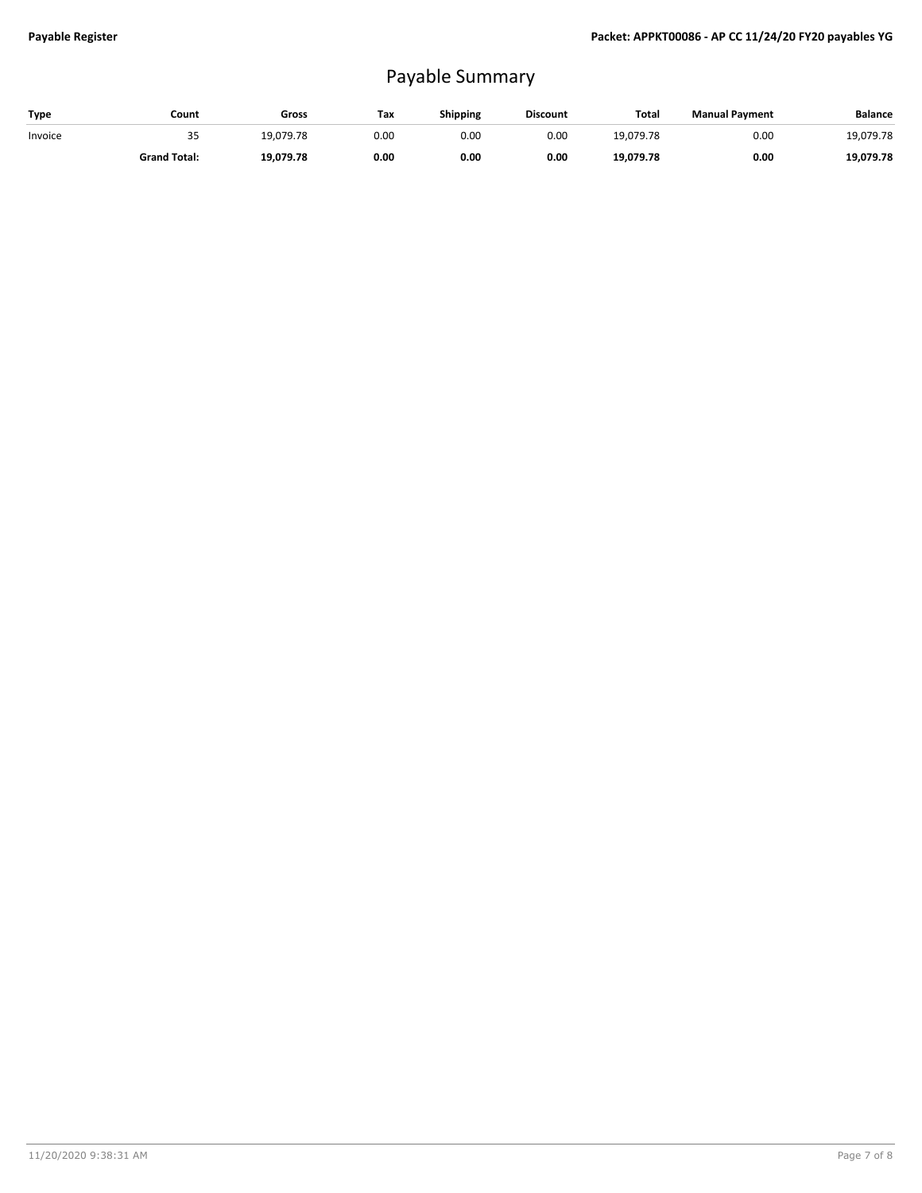## Payable Summary

| Type    | Count               | Gross     | Tax  | Shipping | <b>Discount</b> | Total     | <b>Manual Payment</b> | <b>Balance</b> |
|---------|---------------------|-----------|------|----------|-----------------|-----------|-----------------------|----------------|
| Invoice | 35                  | 19.079.78 | 0.00 | 0.00     | 0.00            | 19.079.78 | 0.00                  | 19,079.78      |
|         | <b>Grand Total:</b> | 19,079.78 | 0.00 | 0.00     | 0.00            | 19.079.78 | 0.00                  | 19,079.78      |